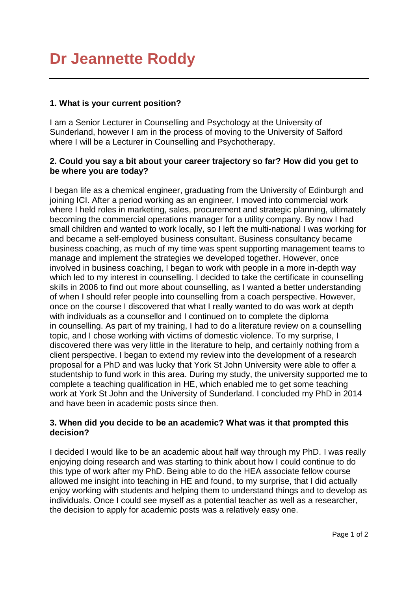# **Dr Jeannette Roddy**

### **1. What is your current position?**

I am a Senior Lecturer in Counselling and Psychology at the University of Sunderland, however I am in the process of moving to the University of Salford where I will be a Lecturer in Counselling and Psychotherapy.

#### **2. Could you say a bit about your career trajectory so far? How did you get to be where you are today?**

I began life as a chemical engineer, graduating from the University of Edinburgh and joining ICI. After a period working as an engineer, I moved into commercial work where I held roles in marketing, sales, procurement and strategic planning, ultimately becoming the commercial operations manager for a utility company. By now I had small children and wanted to work locally, so I left the multi-national I was working for and became a self-employed business consultant. Business consultancy became business coaching, as much of my time was spent supporting management teams to manage and implement the strategies we developed together. However, once involved in business coaching, I began to work with people in a more in-depth way which led to my interest in counselling. I decided to take the certificate in counselling skills in 2006 to find out more about counselling, as I wanted a better understanding of when I should refer people into counselling from a coach perspective. However, once on the course I discovered that what I really wanted to do was work at depth with individuals as a counsellor and I continued on to complete the diploma in counselling. As part of my training, I had to do a literature review on a counselling topic, and I chose working with victims of domestic violence. To my surprise, I discovered there was very little in the literature to help, and certainly nothing from a client perspective. I began to extend my review into the development of a research proposal for a PhD and was lucky that York St John University were able to offer a studentship to fund work in this area. During my study, the university supported me to complete a teaching qualification in HE, which enabled me to get some teaching work at York St John and the University of Sunderland. I concluded my PhD in 2014 and have been in academic posts since then.

### **3. When did you decide to be an academic? What was it that prompted this decision?**

I decided I would like to be an academic about half way through my PhD. I was really enjoying doing research and was starting to think about how I could continue to do this type of work after my PhD. Being able to do the HEA associate fellow course allowed me insight into teaching in HE and found, to my surprise, that I did actually enjoy working with students and helping them to understand things and to develop as individuals. Once I could see myself as a potential teacher as well as a researcher, the decision to apply for academic posts was a relatively easy one.